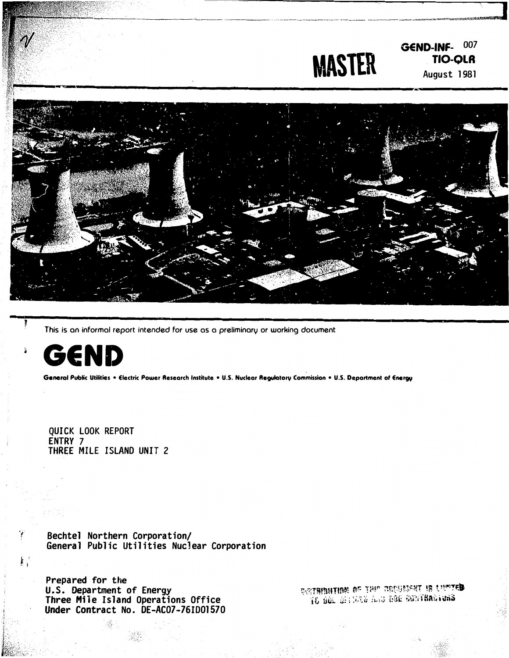



This is an informal report intended for use as a preliminary or working document



Ŷ

 $\mathbf{E}^{\text{R}}$ 

General Public Utilities . Electric Power Research Institute . U.S. Nuclear Regulatory Commission . U.S. Department of Energy

QUICK LOOK REPORT ENTRY 7 THREE MILE ISLAND UNIT 2

Bechtel Northern Corporation/ General Public Utilities Nuclear Corporation

Prepared for the U.S. Department of Energy<br>Three Mile Island Operations Office Under Contract No. DE-AC07-76ID01570

GETHENTIE OF THE BECOMENT IS LIMITED 16 BOL 0113326 A.S. DAE BONTHADIONS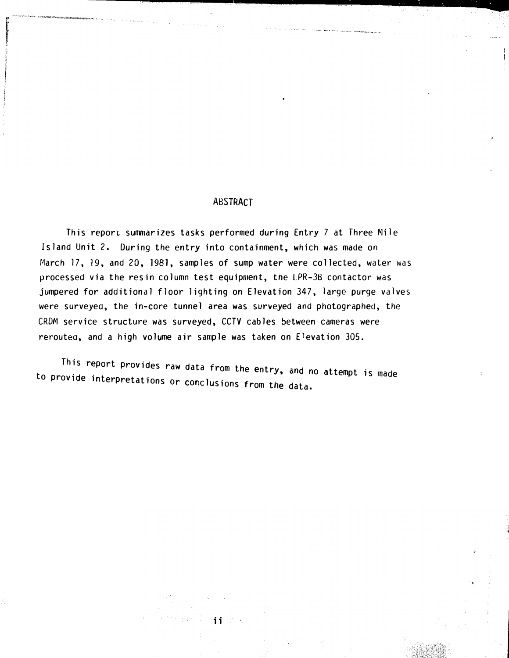### ABSTRACT

----------�,��----�-------·

This report summarizes tasks performed during Entry 7 at Three Mile Island Unit 2. During the entry into containment, which was made on March 17, 19, and 20, 1981, samples of sump water were collected, water was processed via the resin column test equipment, the LPR-3B contactor was jumpered for additional floor lighting on Elevation 347, large purge valves were surveyed, the in-core tunnel area was surveyed and photographed, the CRDM service structure was surveyed, CCTV cables between cameras were reroutea, and a high volume air sample was taken on Elevation 305.

This report provides raw data from the entry, and no attempt is made to provide interpretations or conclusions from the data.

i i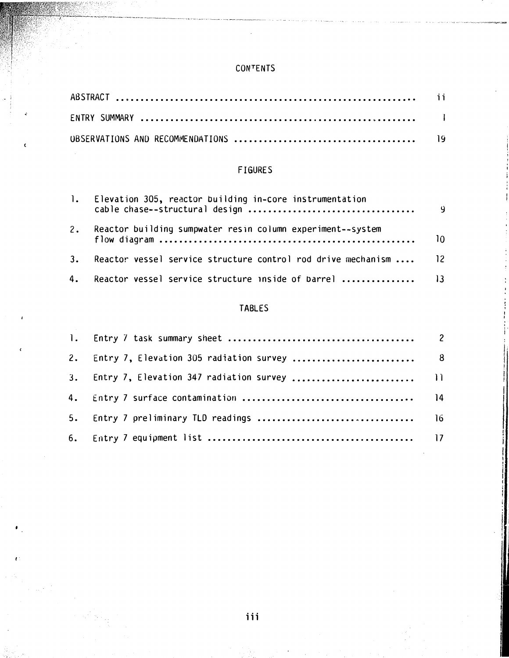### CONTENTS

# FIGURES

| $\mathbf{1.}$ | Elevation 305, reactor building in-core instrumentation             | - 9 |
|---------------|---------------------------------------------------------------------|-----|
| 2.            | Reactor building sumpwater resin column experiment--system          | 10  |
|               | 3. Reactor vessel service structure control rod drive mechanism  12 |     |
|               | 4. Reactor vessel service structure inside of barrel  13            |     |

# TABLES

I ' ' i

l' i !

| 2. Entry 7, Elevation 305 radiation survey  8 |  |
|-----------------------------------------------|--|
|                                               |  |
|                                               |  |
|                                               |  |
|                                               |  |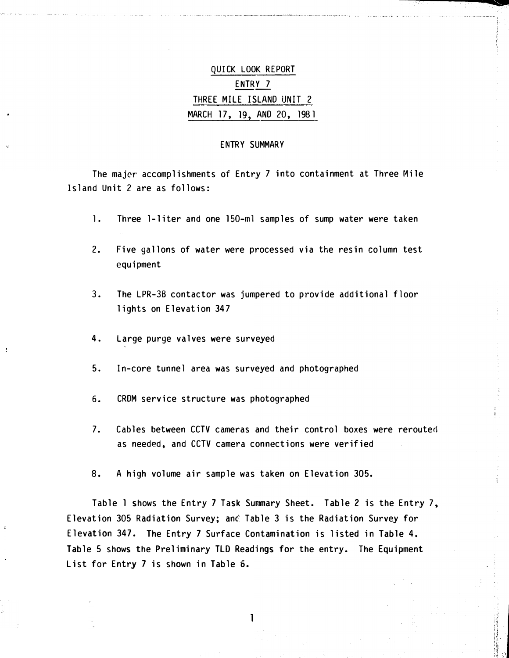# QUICK LOOK REPORT ENTRY 7 THREE MILE ISLAND UNIT 2 MARCH 17, 19, AND 20, 1981

#### ENTRY SUMMARY

The majer accomplishments of Entry 7 into containment at Three Mile Island Unit 2 are as follows:

- 1. Three 1-liter and one 150-ml samples of sump water were taken
- 2. Five gallons of water were processed via the resin column test equipment
- 3. The LPR-3B contactor was jumpered to provide additional floor lights on Elevation 347
- 4. Large purge valves were surveyed
- 5. In-core tunnel area was surveyed and photographed
- 6. CRDM service structure was photographed
- 7. Cables between CCTV cameras and their control boxes were rerouted as needed, and CCTV camera connections were verified
- 8. A high volume air sample was taken on Elevation 305.

Table 1 shows the Entry 7 Task Sunmary Sheet. Table 2 is the Entry 7, Elevation 305 Radiation Survey; anc� Table 3 is the Radiation Survey for Elevation 347. The Entry 7 Surface Contamination is listed in Table 4. Table 5 shows the Preliminary TLD Readings for the entry. The Equipment List for Entry 7 is shown in Table 6.

1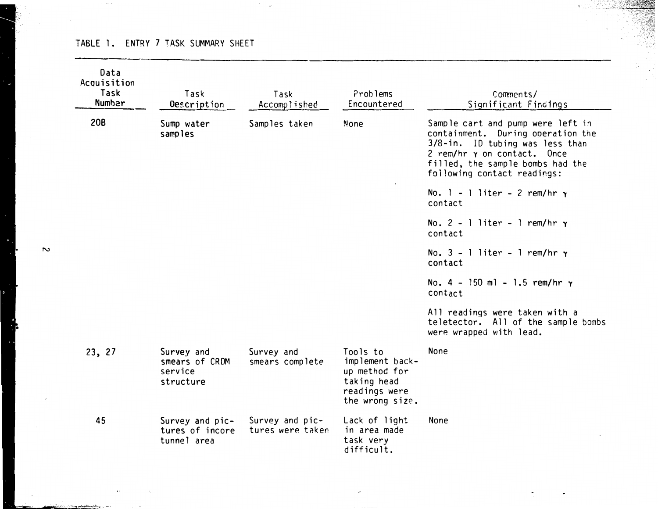### TABLE 1. ENTRY 7 TASK SUMMARY SHEET

 $\sim$ 

| Data<br>Acquisition<br>Task<br><b>Number</b> | Task<br>Description                                  | Task<br>Accomplished                | Problems<br>Encountered                                                                         | Comments/<br>Significant Findings                                                                                                                                                                           |
|----------------------------------------------|------------------------------------------------------|-------------------------------------|-------------------------------------------------------------------------------------------------|-------------------------------------------------------------------------------------------------------------------------------------------------------------------------------------------------------------|
| 20B                                          | Sump water<br>samples                                | Samples taken                       | None                                                                                            | Sample cart and pump were left in<br>containment. During operation the<br>3/8-in. ID tubing was less than<br>2 rem/hr r on contact. Once<br>filled, the sample bombs had the<br>following contact readings: |
|                                              |                                                      |                                     |                                                                                                 | No. $1 - 1$ liter - 2 rem/hr $\gamma$<br>contact                                                                                                                                                            |
|                                              |                                                      |                                     |                                                                                                 | No. $2 - 1$ liter - 1 rem/hr $\gamma$<br>contact                                                                                                                                                            |
|                                              |                                                      |                                     |                                                                                                 | No. $3 - 1$ liter - 1 rem/hr $\gamma$<br>contact                                                                                                                                                            |
|                                              |                                                      |                                     |                                                                                                 | No. $4 - 150$ ml - 1.5 rem/hr $\gamma$<br>contact                                                                                                                                                           |
|                                              |                                                      |                                     |                                                                                                 | All readings were taken with a<br>teletector. All of the sample bombs<br>were wrapped with lead.                                                                                                            |
| 23, 27                                       | Survey and<br>smears of CRDM<br>service<br>structure | Survey and<br>smears complete       | Tools to<br>implement back-<br>up method for<br>taking head<br>readings were<br>the wrong size. | <b>None</b>                                                                                                                                                                                                 |
| 45                                           | Survey and pic-<br>tures of incore<br>tunnel area    | Survey and pic-<br>tures were taken | Lack of light<br>in area made<br>task very<br>difficult.                                        | None                                                                                                                                                                                                        |

n:��

 $\leq$   $\leq$ 

 $\sim$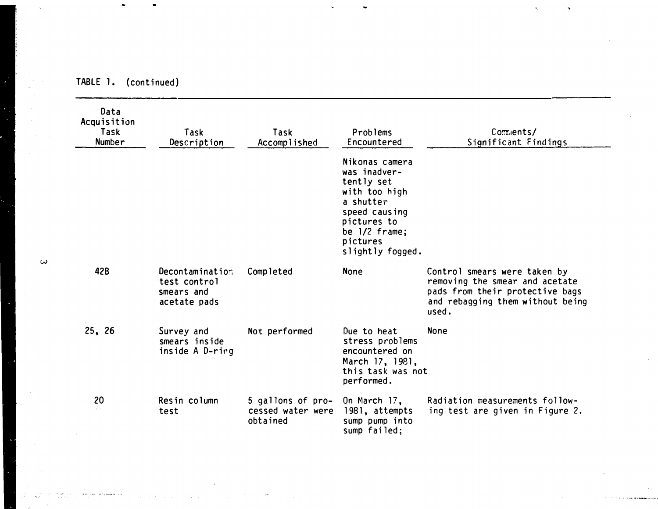| Data<br>Acquisition<br>Task<br><b>Number</b> | Task<br>Description                                           | Task<br>Accomplished                               | Problems<br>Encountered                                                                                                                                       | Comments/<br>Significant Findings                                                                                                              |
|----------------------------------------------|---------------------------------------------------------------|----------------------------------------------------|---------------------------------------------------------------------------------------------------------------------------------------------------------------|------------------------------------------------------------------------------------------------------------------------------------------------|
|                                              |                                                               |                                                    | Nikonas camera<br>was inadver-<br>tently set<br>with too high<br>a shutter<br>speed causing<br>pictures to<br>be $1/2$ frame;<br>pictures<br>slightly fogged. |                                                                                                                                                |
| 42B                                          | Decontamination<br>test control<br>smears and<br>acetate pads | Completed                                          | <b>None</b>                                                                                                                                                   | Control smears were taken by<br>removing the smear and acetate<br>pads from their protective bags<br>and rebagging them without being<br>used. |
| 25, 26                                       | Survey and<br>smears inside<br>inside A D-rirg                | Not performed                                      | Due to heat<br>stress problems<br>encountered on<br>March 17, 1981,<br>this task was not<br>performed.                                                        | <b>None</b>                                                                                                                                    |
| 20                                           | Resin column<br>test                                          | 5 gallons of pro-<br>cessed water were<br>obtained | On March 17,<br>1981, attempts<br>sump pump into<br>sump failed;                                                                                              | Radiation measurements follow-<br>ing test are given in Figure 2.                                                                              |

'·

TABLE 1. (continued)

w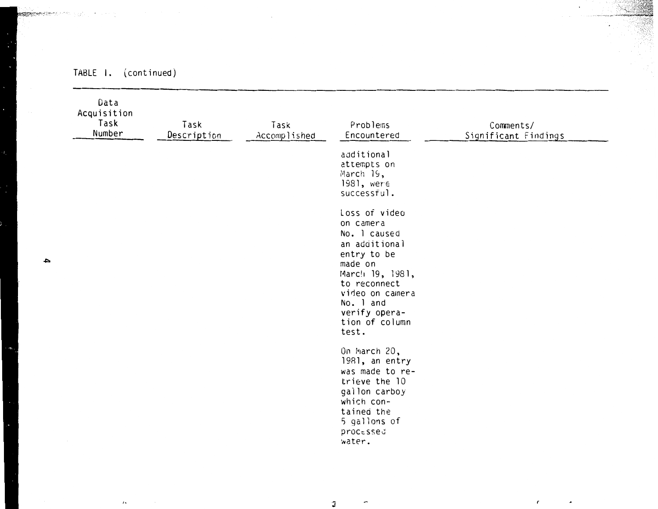| Data<br>Acquisition<br>Task<br>Number | Task<br>Description | Task<br>Accomplished | Problems<br>Encountered                                                                                                                                                                              | Comments/<br>Significant Findings |
|---------------------------------------|---------------------|----------------------|------------------------------------------------------------------------------------------------------------------------------------------------------------------------------------------------------|-----------------------------------|
|                                       |                     |                      | additional<br>attempts on<br>March 19,<br>1981, were<br>successful.                                                                                                                                  |                                   |
|                                       |                     |                      | Loss of video<br>on camera<br>No. 1 caused<br>an additional<br>entry to be<br>made on<br>March 19, 1981,<br>to reconnect<br>video on camera<br>No. 1 and<br>verify opera-<br>tion of column<br>test. |                                   |
|                                       |                     |                      | On March 20,<br>1981, an entry<br>was made to re-<br>trieve the 10<br>gallon carboy<br>which con-<br>tained the<br>5 gallons of<br>processed<br>water.                                               |                                   |

# TABLE 1. (continued)

 $\iota$  .

 $\cdot$ 

 $\overline{\phantom{a}}$ 

**Reserves from the complete** 

 $\mathfrak I$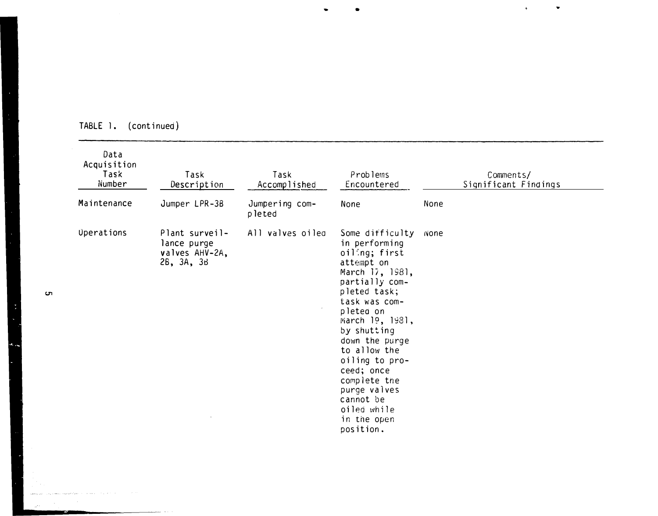| Data<br>Acquisition<br>Task<br>Number | Task<br>Description                                           | Task<br>Accomplished     | Problems<br>Encountered                                                                                                                                                                                                                                                                                                                        | Comments/<br>Significant Findings |
|---------------------------------------|---------------------------------------------------------------|--------------------------|------------------------------------------------------------------------------------------------------------------------------------------------------------------------------------------------------------------------------------------------------------------------------------------------------------------------------------------------|-----------------------------------|
| Maintenance                           | Jumper LPR-3B                                                 | Jumpering com-<br>pleted | None                                                                                                                                                                                                                                                                                                                                           | None                              |
| <b>Uperations</b>                     | Plant surveil-<br>lance purge<br>valves AHV-2A,<br>26, 3A, 3B | All valves oiled         | Some difficulty<br>in performing<br>oiling; first<br>attempt on<br>March 17, 1981,<br>partially com-<br>pleted task;<br>task was com-<br>pleted on<br>March 19, 1981,<br>by shutting<br>down the purge<br>to allow the<br>oiling to pro-<br>ceed; once<br>complete the<br>purge valves<br>cannot be<br>oiled while<br>in the open<br>position. | None                              |

 $\bullet$ 

# TABLE l. (continued)

S

 $\ddot{\phantom{a}}$ 

 $\text{supp} \, g_{\mathcal{B}}(q) = \pi(\mathbb{E}_{\mathbf{w}} \times \text{Re} \, \mathbb{E}_{\mathbf{w}} \times \text{Im} \, \mathbb{E}_{\mathbf{w}} \times \text{Im} \, \mathbb{E}_{\mathbf{w}} \times \mathbb{E}_{\mathbf{w}} \times \mathbb{E}_{\mathbf{w}} \times \mathbb{E}_{\mathbf{w}} \times \mathbb{E}_{\mathbf{w}} \times \mathbb{E}_{\mathbf{w}} \times \mathbb{E}_{\mathbf{w}} \times \mathbb{E}_{\mathbf{w}}$ 

 $\mathcal{L}^{\mathcal{L}}(\mathcal{L}^{\mathcal{L}})$  and  $\mathcal{L}^{\mathcal{L}}(\mathcal{L}^{\mathcal{L}})$ 

المتحدث والمعورة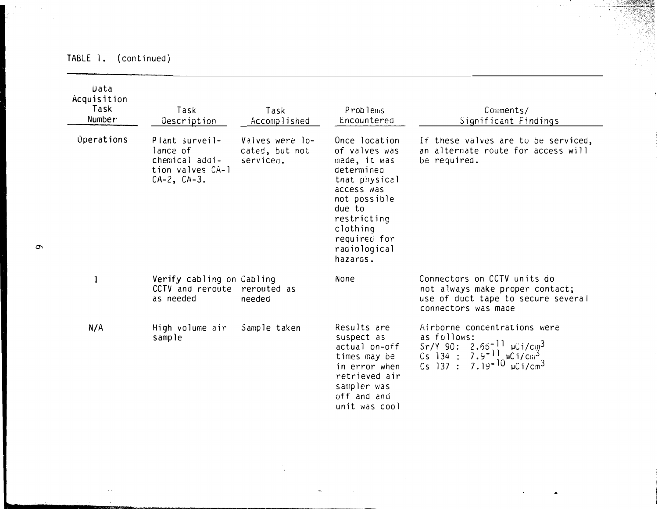# TABLE 1. (continued)

| Data<br>Acquisition<br>Task<br>Number | Task<br>Description                                                                   | Task<br>Accomplished                           | Problems<br>Encountered                                                                                                                                                                      | Comments/<br>Significant Findings                                                                                                                                                                                   |
|---------------------------------------|---------------------------------------------------------------------------------------|------------------------------------------------|----------------------------------------------------------------------------------------------------------------------------------------------------------------------------------------------|---------------------------------------------------------------------------------------------------------------------------------------------------------------------------------------------------------------------|
| <b>Operations</b>                     | Plant surveil-<br>lance of<br>chemical addi-<br>tion valves CA-1<br>$CA-2$ , $CA-3$ . | Valves were lo-<br>cated, but not<br>serviced. | Once location<br>of valves was<br>made, it was<br>determined<br>that physical<br>access was<br>not possible<br>due to<br>restricting<br>clothing<br>required for<br>radiological<br>hazards. | If these valves are to be serviced,<br>an alternate route for access will<br>be required.                                                                                                                           |
|                                       | Verify cabling on Cabling<br>CCTV and reroute rerouted as<br>as needed                | needed                                         | None                                                                                                                                                                                         | Connectors on CCTV units do<br>not always make proper contact;<br>use of duct tape to secure several<br>connectors was made                                                                                         |
| N/A                                   | High volume air<br>sample                                                             | Sample taken                                   | Results are<br>suspect as<br>actual on-off<br>times may be<br>in error when<br>retrieved air<br>sampler was<br>off and and<br>unit was cool                                                  | Airborne concentrations were<br>as follows:<br>Sr/Y 90: $2.65^{-11}$ µCi/cm <sup>3</sup><br>7.9 <sup>-11</sup> $\mu$ Ci/cm <sup>3</sup><br>7.19 <sup>-10</sup> $\mu$ Ci/cm <sup>3</sup><br>$Cs$ 134 :<br>$Cs$ 137 : |

 $\sigma$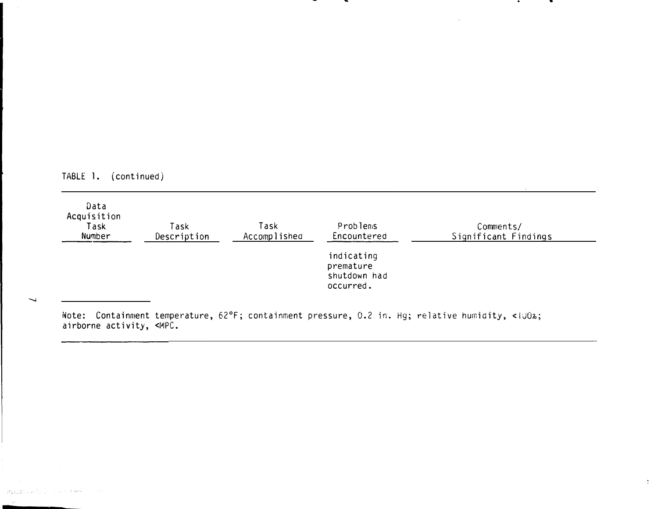|  | TABLE |  | (continued) |  |
|--|-------|--|-------------|--|
|--|-------|--|-------------|--|

 $\overline{\phantom{0}}$ 

**Departments of the common of any** 

| Data<br>Acquisition<br>Task<br>Number | Task<br>Description | Task<br>Accomplished | <b>Problems</b><br>Encountered                       | Comments/<br>Significant Findings |  |
|---------------------------------------|---------------------|----------------------|------------------------------------------------------|-----------------------------------|--|
|                                       |                     |                      | indicating<br>premature<br>shutdown had<br>occurred. |                                   |  |

•

 $\mathcal{A}^{\mathcal{A}}$ 

Note: Containment temperature, 62°F; containment pressure, 0.2 in. Hg; relative humidity, <IU07o; airborne activity, <MPC.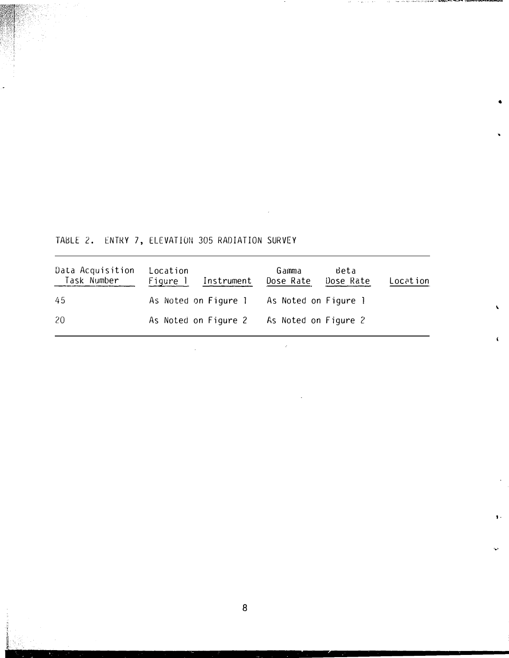TABLE 2. ENTRY 7, ELEVATION 305 RADIATION SURVEY

 $\bar{\beta}$ 

| Data Acquisition<br>Task Number | Location | Figure 1 Instrument                       | Gamma<br>Dose Rate | Beta<br>Dose Rate | Location |
|---------------------------------|----------|-------------------------------------------|--------------------|-------------------|----------|
| 45                              |          | As Noted on Figure 1 As Noted on Figure 1 |                    |                   |          |
| 20                              |          | As Noted on Figure 2 As Noted on Figure 2 |                    |                   |          |

 $\hat{\mathcal{L}}$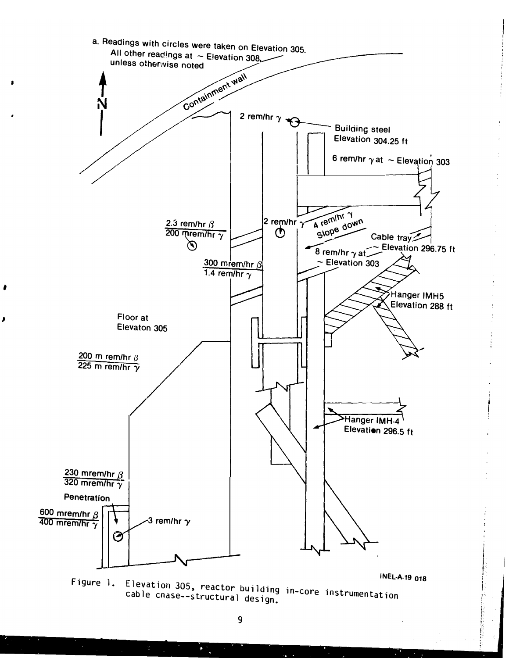

•

I

cable Elevation cnase--s 305, reactor building in-core instrumentation<br>e--structural design. cable cnase--structural design.

 $\mathbb{R}^3$  .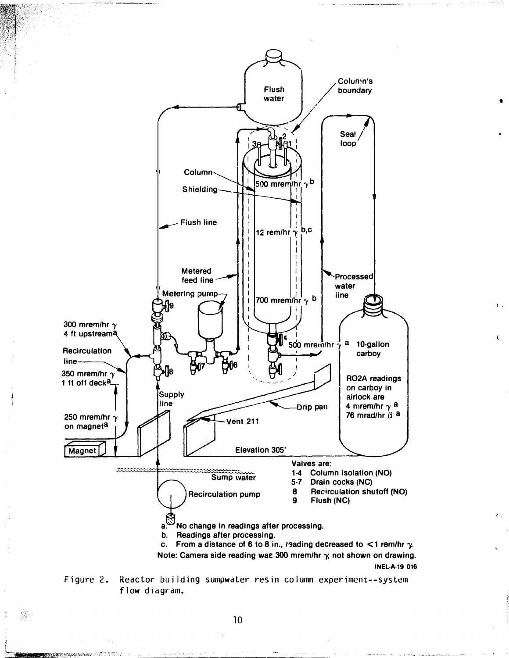

•

•

 $\mathfrak{c}$ .

Ċ

(.

Figure 2. Reactor building sumpwater resin column experiment--system flow diagram.

33.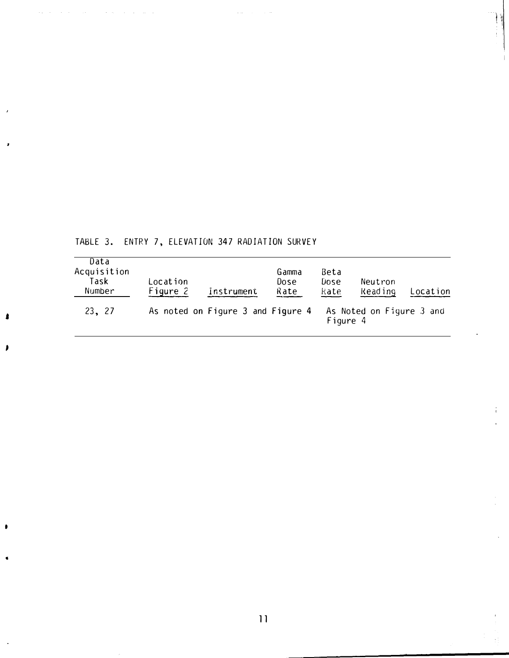# TABLE 3. ENTRY 7, ELEVATION 347 RADIATION SURVEY

 $\tau_{\rm{max}}$ 

£

I

 $\sim 10^7$ 

 $\sim$ 

 $\alpha = \alpha_0$ 

 $\mathcal{A}=\mathcal{A}=\mathcal{A}=\mathcal{A}$ 

| Data<br>Acquisition<br>Task<br>Number | Location<br>Figure 2 | instrument                        | Gamma<br>Dose<br>Rate | Beta<br>Dose<br>Rate | Neutron<br><b>Reading</b> | Location |
|---------------------------------------|----------------------|-----------------------------------|-----------------------|----------------------|---------------------------|----------|
| 23, 27                                |                      | As noted on Figure 3 and Figure 4 |                       | Figure 4             | As Noted on Figure 3 and  |          |

 $\sim$   $\sim$ 

 $\overline{11}$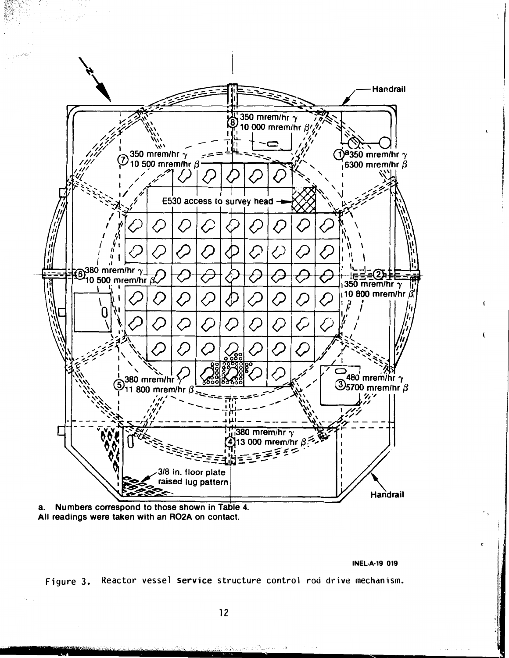

Numbers correspond to those shown in Table 4. а. All readings were taken with an RO2A on contact.

**INEL-A-19 019** 

c

Figure 3. Reactor vessel service structure control rod drive mechanism.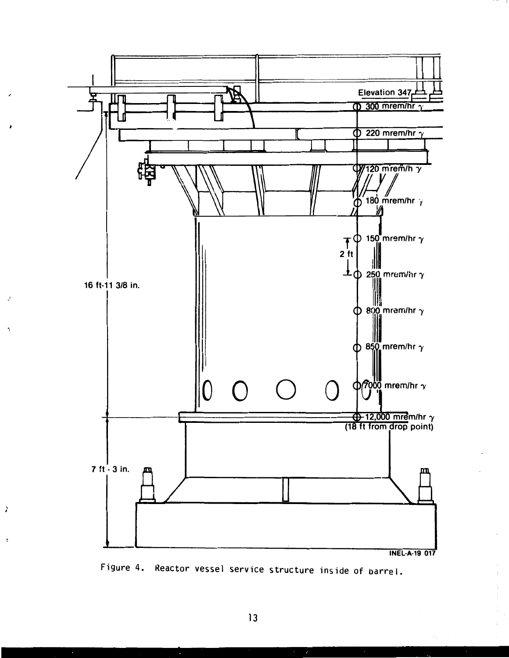

Figure 4. Reactor vessel service structure inside of barrel.

 $\lambda$ 

×.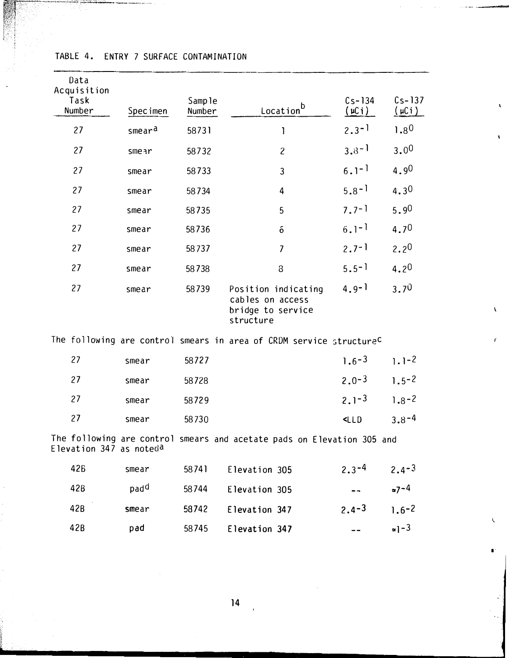| Data<br>Acquisition<br>Task<br>Number | Specimen           | Sample<br>Number | Location <sup>b</sup>                                                           | $Cs-134$<br>$(\underline{\mathfrak{u}}$ Ci) | $Cs - 137$<br><u>(µСі)</u> |
|---------------------------------------|--------------------|------------------|---------------------------------------------------------------------------------|---------------------------------------------|----------------------------|
| 27                                    | smear <sup>a</sup> | 58731            | 1                                                                               | $2.3 - 1$                                   | 1.80                       |
| 27                                    | smear              | 58732            | $\overline{c}$                                                                  | $3.8 - 1$                                   | 3.00                       |
| 27                                    | smear              | 58733            | 3                                                                               | $6.1^{-1}$                                  | 4.90                       |
| 27                                    | smear              | 58734            | 4                                                                               | $5.8 - 1$                                   | 4.30                       |
| 27                                    | smear              | 58735            | 5                                                                               | $7.7 - 1$                                   | 5.90                       |
| 27                                    | smear              | 58736            | ó                                                                               | $6.1 - 1$                                   | $4.7^{0}$                  |
| 27                                    | smear              | 58737            | $\overline{\mathcal{L}}$                                                        | $2.7 - 1$                                   | 2.2 <sup>0</sup>           |
| 27                                    | smear              | 58738            | 8                                                                               | $5.5 - 1$                                   | 4.20                       |
| 27                                    | smear              | 58739            | Position indicating<br>cables on access<br>bridge to service<br>structure       | $4.9 - 1$                                   | 3.70                       |
|                                       |                    |                  | The following are control smears in area of CRDM service structure <sup>C</sup> |                                             |                            |
| 27                                    | smear              | 58727            |                                                                                 | $1.6 - 3$                                   | $1.1 - 2$                  |
| 27                                    | smear              | 58728            |                                                                                 | $2.0 - 3$                                   | $1.5 - 2$                  |
| 27                                    | smear              | 58729            |                                                                                 | $2.1 - 3$                                   | $1.8 - 2$                  |
| 27                                    | smear              | 58730            |                                                                                 | CLD                                         | $3.8 - 4$                  |
| Elevation 347 as noteda               |                    |                  | The following are control smears and acetate pads on Elevation 305 and          |                                             |                            |
| <b>42B</b>                            | smear              | 58741            | Elevation 305                                                                   | $2.3 - 4$                                   | $2.4 - 3$                  |
| 42B                                   | pad <sup>d</sup>   | 58744            | Elevation 305                                                                   |                                             | $27 - 4$                   |
| 42 <sub>B</sub>                       | smear              | 58742            | Flevation 347                                                                   | $2a-3$                                      | $16-2$                     |

 $\mathbf{r}$ 

 $\mathbf{f}$ 

 $\bullet$ 

 $=1-3$ 

# TABLE 4. ENTRY 7 SURFACE CONTAMINATION

 $42B$ 

pad

 $14$ 

58745

Elevation 347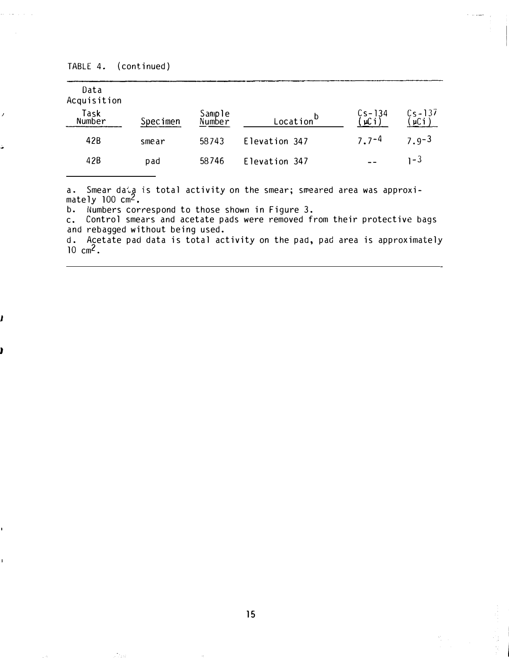.<br>Stein

J

Ź

| <b>Specimen</b> | Sample<br>Number | Location <sup>D</sup> | $\begin{array}{c} \text{Cs} - 134 \\ \text{(µC i)} \end{array}$ | $\frac{Cs-137}{(\mu C i)}$ |
|-----------------|------------------|-----------------------|-----------------------------------------------------------------|----------------------------|
| smear           | 58743            | Elevation 347         | $7.7 - 4$                                                       | $7.9 - 3$                  |
| pad             | 58746            | Elevation 347         | - -                                                             | 1-3                        |
|                 |                  |                       |                                                                 |                            |

a. Smear daia is total activity on the smear; smeared area was approximately  $100 \text{ cm}^2$ .

b. Numbers correspond to those shown in Figure 3.

c. Control smears and acetate pads were removed from their protective bags and rebagged without being used.

d. Acetate pad data is total activity on the pad, pad area is approximately  $10 \text{ cm}^2$ .

15

 $\mathcal{A}_1$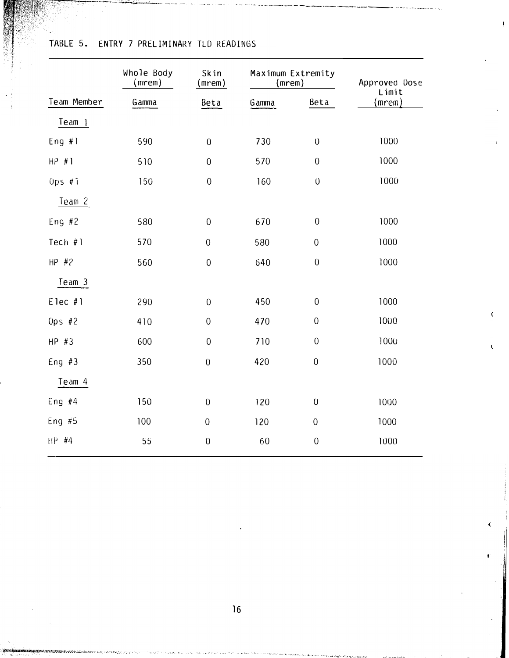|              | Whole Body<br>(mrem) | Maximum Extremity<br>Skin<br>(mrem)<br>(mrem) |       |                     | Approved Dose<br>Limit |  |
|--------------|----------------------|-----------------------------------------------|-------|---------------------|------------------------|--|
| Team Member  | Gamma                | Beta                                          | Gamma | Beta                | (mrem)                 |  |
| Team 1       |                      |                                               |       |                     |                        |  |
| Eng $#1$     | 590                  | $\boldsymbol{0}$                              | 730   | $\mathsf{O}\xspace$ | 1000                   |  |
| $HP$ #1      | 510                  | $\boldsymbol{0}$                              | 570   | $\overline{0}$      | 1000                   |  |
| $0$ ps # $i$ | 150                  | $\boldsymbol{0}$                              | 160   | $\cup$              | 1000                   |  |
| Team 2       |                      |                                               |       |                     |                        |  |
| Eng $#2$     | 580                  | $\mathbf 0$                                   | 670   | $\mathbf 0$         | 1000                   |  |
| Tech $#1$    | 570                  | $\boldsymbol{0}$                              | 580   | $\boldsymbol{0}$    | 1000                   |  |
| $HP$ #2      | 560                  | $\boldsymbol{0}$                              | 640   | $\overline{0}$      | 1000                   |  |
| Team 3       |                      |                                               |       |                     |                        |  |
| Elec #1      | 290                  | $\boldsymbol{0}$                              | 450   | $\mathbf 0$         | 1000                   |  |
| Ops $#2$     | 410                  | $\boldsymbol{0}$                              | 470   | $\boldsymbol{0}$    | 1000                   |  |
| $HP$ #3      | 600                  | $\boldsymbol{0}$                              | 710   | $\boldsymbol{0}$    | 1000                   |  |
| Eng $#3$     | 350                  | $\boldsymbol{0}$                              | 420   | $\overline{0}$      | 1000                   |  |
| Team 4       |                      |                                               |       |                     |                        |  |
| Eng $#4$     | 150                  | $\boldsymbol{0}$                              | 120   | $\boldsymbol{0}$    | 1000                   |  |
| Eng $#5$     | 100                  | $\overline{0}$                                | 120   | $\boldsymbol{0}$    | 1000                   |  |
| HP #4        | 55                   | $\boldsymbol{0}$                              | 60    | $\boldsymbol{0}$    | 1000                   |  |
|              |                      |                                               |       |                     |                        |  |

--• -·-� ------·---- ------ -------� -·�r ----

5. ENTRY 7 PRELIMINARY TLD READINGS

16

 $\parallel$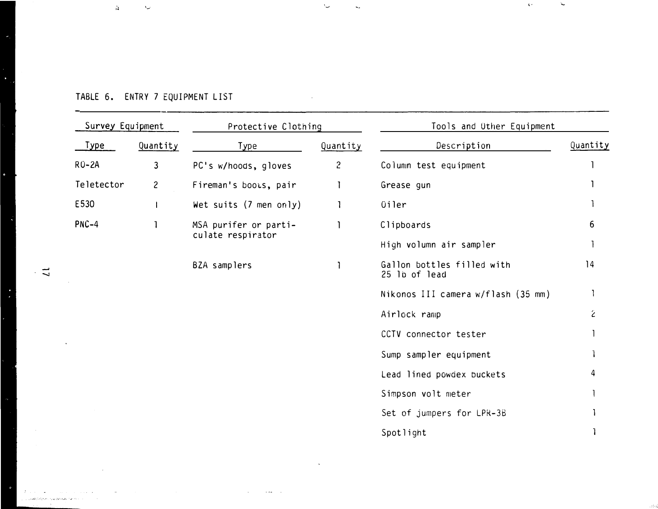| Survey Equipment |                       | Protective Clothing    |                        | Tools and Other Equipment                   |          |
|------------------|-----------------------|------------------------|------------------------|---------------------------------------------|----------|
| <u>Type</u>      | Quantity              | Type                   | Quantity               | Description                                 | Quantity |
| $RO-2A$          | 3                     | PC's w/hoods, gloves   | $\overline{c}$         | Column test equipment                       |          |
| Teletector       | $\overline{c}$        | Fireman's boots, pair  |                        | Grease gun                                  |          |
| E530             | Ł                     | Wet suits (7 men only) |                        | <b><i><u>Oiler</u></i></b>                  |          |
| $PNC-4$          | MSA purifer or parti- |                        | Clipboards             | 6                                           |          |
|                  |                       | culate respirator      |                        | High volumn air sampler                     |          |
|                  |                       | BZA samplers           |                        | Gallon bottles filled with<br>25 lb of lead | 14       |
|                  |                       |                        |                        | Nikonos III camera w/flash (35 mm)          |          |
|                  |                       |                        |                        | Airlock ramp                                | Ź        |
|                  |                       |                        |                        | CCTV connector tester                       |          |
|                  |                       |                        | Sump sampler equipment |                                             |          |
|                  |                       |                        |                        | Lead lined powdex buckets                   | 4        |
|                  |                       |                        |                        | Simpson volt meter                          |          |
|                  |                       |                        |                        | Set of jumpers for LPR-3B                   |          |
|                  |                       |                        |                        | Spotlight                                   |          |

 $\sim$ 

 $\mathcal{L}_{\mathcal{A}}$  and the contract of the contract of the contract of the contract of the contract of the contract of the contract of the contract of the contract of the contract of the contract of the contract of the contra

 $\backsim$ 

 $\mathcal{L}_{\mathbf{z}}$ 

, and the  $\sim$ 

.<br>Sha

#### TABLE 6. ENTRY 7 EQUIPMENT LIST and the control of the control of

·-·

 $\Delta$ 

ı,

 $\label{eq:1} \begin{split} &\mathcal{E}_{\mathcal{E}_{\mathcal{E}}(\mathcal{E}_{\mathcal{E}})}(\mathcal{E}_{\mathcal{E}}(\mathcal{E}_{\mathcal{E}}(\mathcal{E}_{\mathcal{E}}(\mathcal{E}_{\mathcal{E}}(\mathcal{E}_{\mathcal{E}}(\mathcal{E}_{\mathcal{E}}(\mathcal{E}_{\mathcal{E}}(\mathcal{E}_{\mathcal{E}}(\mathcal{E}_{\mathcal{E}}(\mathcal{E}_{\mathcal{E}}(\mathcal{E}_{\mathcal{E}}(\mathcal{E}_{\mathcal{E}}(\mathcal{E}_{\mathcal{E}}(\mathcal{E}_{\mathcal{E}}(\mathcal{E}_{\math$ 

construction of the construction

 $\bar{z}$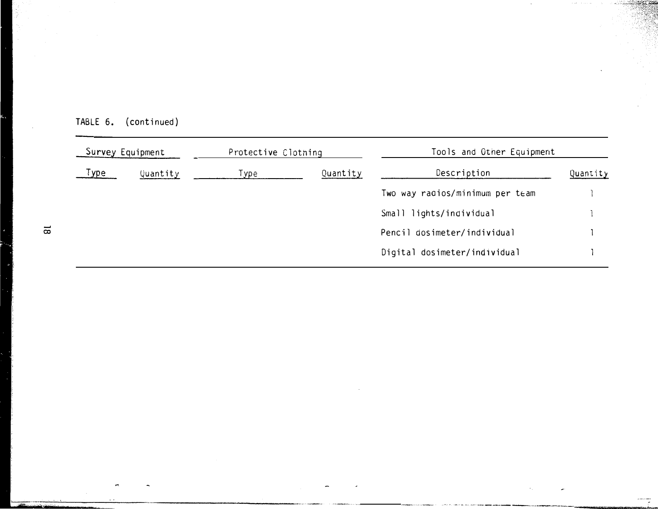|             | Survey Equipment | Protective Clothing |          | Tools and Other Equipment       |          |
|-------------|------------------|---------------------|----------|---------------------------------|----------|
| <u>Type</u> | Quantity         | Type                | Quantity | Description                     | Quantity |
|             |                  |                     |          | Two way radios/minimum per team |          |
|             |                  |                     |          | Small lights/individual         |          |
|             |                  |                     |          | Pencil dosimeter/individual     |          |
|             |                  |                     |          | Digital dosimeter/individual    |          |

 $\bar{z}$ 

÷

 $\sim$ 

**STARS** 8

7

| TABLE 6. | (continued) |
|----------|-------------|
|----------|-------------|

×

فترح فتعنده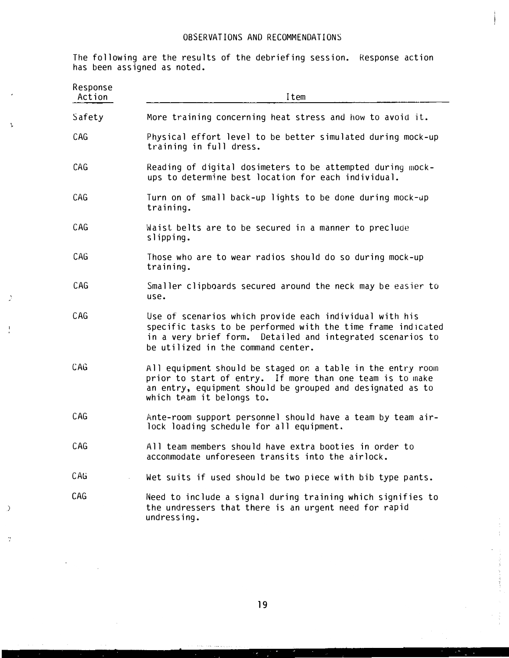### OBSERVATIONS AND RECOMMENDATIONS

The following are the results of the debriefing session. Response action has been assigned as noted.

'

À

 $\cdot$ 

 $\mathcal{L}$ 

 $\gamma$ 

| Response<br>Action | Item                                                                                                                                                                                                                        |
|--------------------|-----------------------------------------------------------------------------------------------------------------------------------------------------------------------------------------------------------------------------|
| Safety             | More training concerning heat stress and how to avoid it.                                                                                                                                                                   |
| CAG                | Physical effort level to be better simulated during mock-up<br>training in full dress.                                                                                                                                      |
| CAG                | Reading of digital dosimeters to be attempted during mock-<br>ups to determine best location for each individual.                                                                                                           |
| CAG                | Turn on of small back-up lights to be done during mock-up<br>training.                                                                                                                                                      |
| CAG                | Waist belts are to be secured in a manner to preclude<br>slipping.                                                                                                                                                          |
| CAG                | Those who are to wear radios should do so during mock-up<br>training.                                                                                                                                                       |
| CAG                | Smaller clipboards secured around the neck may be easier to<br>use.                                                                                                                                                         |
| CAG                | Use of scenarios which provide each individual with his<br>specific tasks to be performed with the time frame indicated<br>in a very brief form. Detailed and integrated scenarios to<br>be utilized in the command center. |
| CAG                | All equipment should be staged on a table in the entry room<br>prior to start of entry. If more than one team is to make<br>an entry, equipment should be grouped and designated as to<br>which team it belongs to.         |
| CAG                | Ante-room support personnel should have a team by team air-<br>lock loading schedule for all equipment.                                                                                                                     |
| CAG                | All team members should have extra booties in order to<br>accommodate unforeseen transits into the airlock.                                                                                                                 |
| CAG                | Wet suits if used should be two piece with bib type pants.                                                                                                                                                                  |
| CAG                | Need to include a signal during training which signifies to<br>the undressers that there is an urgent need for rapid<br>undressing.                                                                                         |

. ... , . . -

. .

 $\frac{1}{2}$